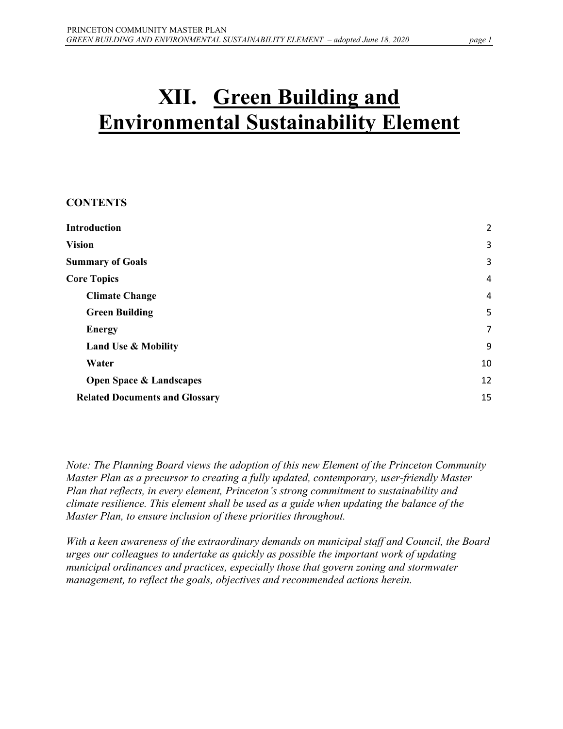# **XII. Green Building and Environmental Sustainability Element**

#### **CONTENTS**

| <b>Introduction</b>                   | $\overline{2}$ |
|---------------------------------------|----------------|
| <b>Vision</b>                         | 3              |
| <b>Summary of Goals</b>               | 3              |
| <b>Core Topics</b>                    | 4              |
| <b>Climate Change</b>                 | $\overline{4}$ |
| <b>Green Building</b>                 | 5              |
| <b>Energy</b>                         | $\overline{7}$ |
| <b>Land Use &amp; Mobility</b>        | 9              |
| Water                                 | 10             |
| <b>Open Space &amp; Landscapes</b>    | 12             |
| <b>Related Documents and Glossary</b> | 15             |

*Note: The Planning Board views the adoption of this new Element of the Princeton Community Master Plan as a precursor to creating a fully updated, contemporary, user-friendly Master Plan that reflects, in every element, Princeton's strong commitment to sustainability and climate resilience. This element shall be used as a guide when updating the balance of the Master Plan, to ensure inclusion of these priorities throughout.*

*With a keen awareness of the extraordinary demands on municipal staff and Council, the Board urges our colleagues to undertake as quickly as possible the important work of updating municipal ordinances and practices, especially those that govern zoning and stormwater management, to reflect the goals, objectives and recommended actions herein.*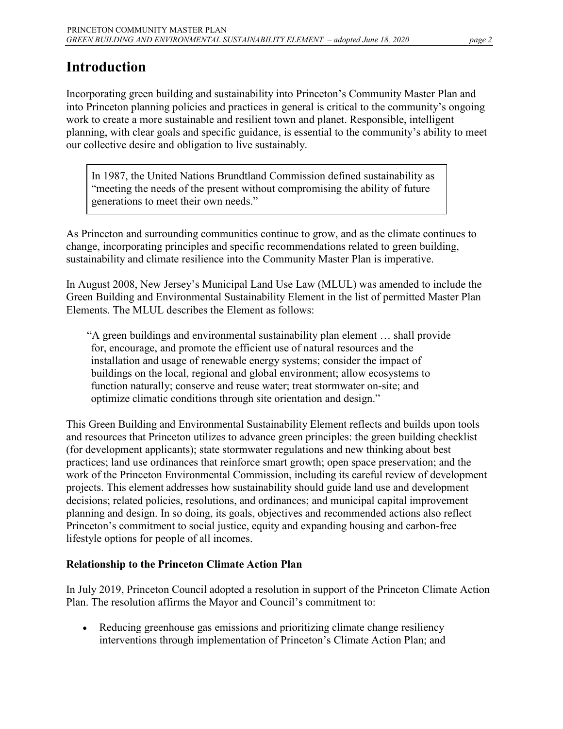# <span id="page-1-0"></span>**Introduction**

Incorporating green building and sustainability into Princeton's Community Master Plan and into Princeton planning policies and practices in general is critical to the community's ongoing work to create a more sustainable and resilient town and planet. Responsible, intelligent planning, with clear goals and specific guidance, is essential to the community's ability to meet our collective desire and obligation to live sustainably.

In 1987, the United Nations Brundtland Commission defined sustainability as "meeting the needs of the present without compromising the ability of future generations to meet their own needs."

As Princeton and surrounding communities continue to grow, and as the climate continues to change, incorporating principles and specific recommendations related to green building, sustainability and climate resilience into the Community Master Plan is imperative.

In August 2008, New Jersey's Municipal Land Use Law (MLUL) was amended to include the Green Building and Environmental Sustainability Element in the list of permitted Master Plan Elements. The MLUL describes the Element as follows:

"A green buildings and environmental sustainability plan element … shall provide for, encourage, and promote the efficient use of natural resources and the installation and usage of renewable energy systems; consider the impact of buildings on the local, regional and global environment; allow ecosystems to function naturally; conserve and reuse water; treat stormwater on-site; and optimize climatic conditions through site orientation and design."

This Green Building and Environmental Sustainability Element reflects and builds upon tools and resources that Princeton utilizes to advance green principles: the green building checklist (for development applicants); state stormwater regulations and new thinking about best practices; land use ordinances that reinforce smart growth; open space preservation; and the work of the Princeton Environmental Commission, including its careful review of development projects. This element addresses how sustainability should guide land use and development decisions; related policies, resolutions, and ordinances; and municipal capital improvement planning and design. In so doing, its goals, objectives and recommended actions also reflect Princeton's commitment to social justice, equity and expanding housing and carbon-free lifestyle options for people of all incomes.

### **Relationship to the Princeton Climate Action Plan**

In July 2019, Princeton Council adopted a resolution in support of the Princeton Climate Action Plan. The resolution affirms the Mayor and Council's commitment to:

• Reducing greenhouse gas emissions and prioritizing climate change resiliency interventions through implementation of Princeton's Climate Action Plan; and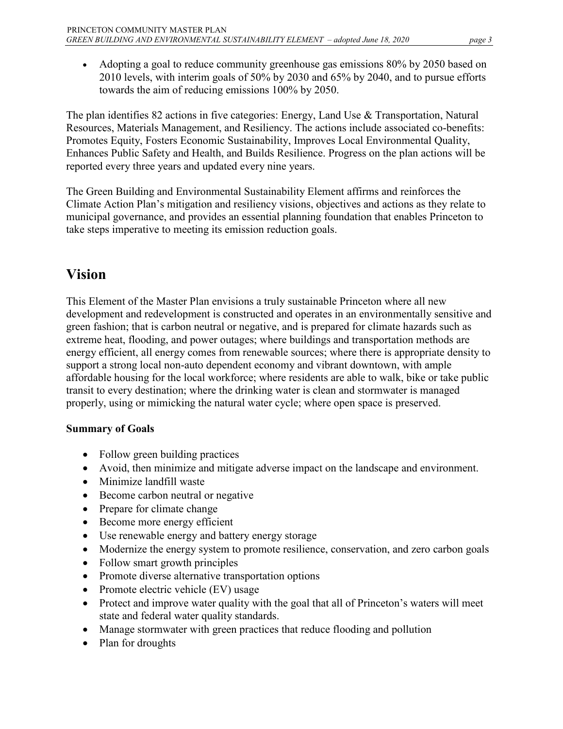• Adopting a goal to reduce community greenhouse gas emissions 80% by 2050 based on 2010 levels, with interim goals of 50% by 2030 and 65% by 2040, and to pursue efforts towards the aim of reducing emissions 100% by 2050.

The plan identifies 82 actions in five categories: Energy, Land Use & Transportation, Natural Resources, Materials Management, and Resiliency. The actions include associated co-benefits: Promotes Equity, Fosters Economic Sustainability, Improves Local Environmental Quality, Enhances Public Safety and Health, and Builds Resilience. Progress on the plan actions will be reported every three years and updated every nine years.

The Green Building and Environmental Sustainability Element affirms and reinforces the Climate Action Plan's mitigation and resiliency visions, objectives and actions as they relate to municipal governance, and provides an essential planning foundation that enables Princeton to take steps imperative to meeting its emission reduction goals.

# <span id="page-2-0"></span>**Vision**

This Element of the Master Plan envisions a truly sustainable Princeton where all new development and redevelopment is constructed and operates in an environmentally sensitive and green fashion; that is carbon neutral or negative, and is prepared for climate hazards such as extreme heat, flooding, and power outages; where buildings and transportation methods are energy efficient, all energy comes from renewable sources; where there is appropriate density to support a strong local non-auto dependent economy and vibrant downtown, with ample affordable housing for the local workforce; where residents are able to walk, bike or take public transit to every destination; where the drinking water is clean and stormwater is managed properly, using or mimicking the natural water cycle; where open space is preserved.

#### <span id="page-2-1"></span>**Summary of Goals**

- Follow green building practices
- Avoid, then minimize and mitigate adverse impact on the landscape and environment.
- Minimize landfill waste
- Become carbon neutral or negative
- Prepare for climate change
- Become more energy efficient
- Use renewable energy and battery energy storage
- Modernize the energy system to promote resilience, conservation, and zero carbon goals
- Follow smart growth principles
- Promote diverse alternative transportation options
- Promote electric vehicle (EV) usage
- Protect and improve water quality with the goal that all of Princeton's waters will meet state and federal water quality standards.
- Manage stormwater with green practices that reduce flooding and pollution
- Plan for droughts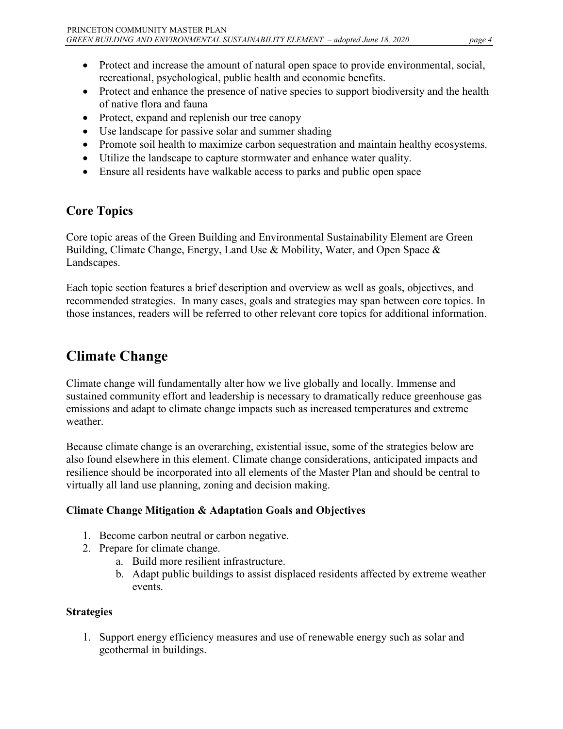- Protect and increase the amount of natural open space to provide environmental, social, recreational, psychological, public health and economic benefits.
- Protect and enhance the presence of native species to support biodiversity and the health of native flora and fauna
- Protect, expand and replenish our tree canopy
- Use landscape for passive solar and summer shading
- Promote soil health to maximize carbon sequestration and maintain healthy ecosystems.
- Utilize the landscape to capture stormwater and enhance water quality.
- Ensure all residents have walkable access to parks and public open space

# <span id="page-3-0"></span>**Core Topics**

Core topic areas of the Green Building and Environmental Sustainability Element are Green Building, Climate Change, Energy, Land Use & Mobility, Water, and Open Space & Landscapes.

Each topic section features a brief description and overview as well as goals, objectives, and recommended strategies. In many cases, goals and strategies may span between core topics. In those instances, readers will be referred to other relevant core topics for additional information.

# <span id="page-3-1"></span>**Climate Change**

Climate change will fundamentally alter how we live globally and locally. Immense and sustained community effort and leadership is necessary to dramatically reduce greenhouse gas emissions and adapt to climate change impacts such as increased temperatures and extreme weather.

Because climate change is an overarching, existential issue, some of the strategies below are also found elsewhere in this element. Climate change considerations, anticipated impacts and resilience should be incorporated into all elements of the Master Plan and should be central to virtually all land use planning, zoning and decision making.

#### **Climate Change Mitigation & Adaptation Goals and Objectives**

- 1. Become carbon neutral or carbon negative.
- 2. Prepare for climate change.
	- a. Build more resilient infrastructure.
	- b. Adapt public buildings to assist displaced residents affected by extreme weather events.

### **Strategies**

1. Support energy efficiency measures and use of renewable energy such as solar and geothermal in buildings.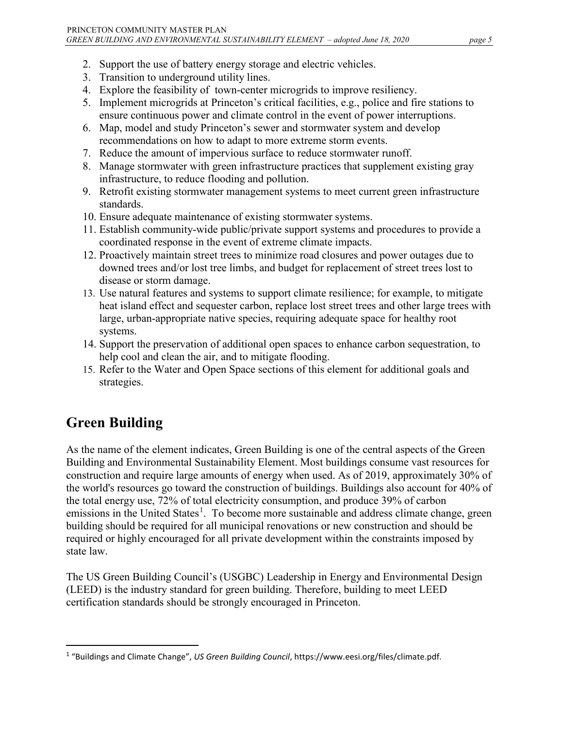- 2. Support the use of battery energy storage and electric vehicles.
- 3. Transition to underground utility lines.
- 4. Explore the feasibility of town-center microgrids to improve resiliency.
- 5. Implement microgrids at Princeton's critical facilities, e.g., police and fire stations to ensure continuous power and climate control in the event of power interruptions.
- 6. Map, model and study Princeton's sewer and stormwater system and develop recommendations on how to adapt to more extreme storm events.
- 7. Reduce the amount of impervious surface to reduce stormwater runoff.
- 8. Manage stormwater with green infrastructure practices that supplement existing gray infrastructure, to reduce flooding and pollution.
- 9. Retrofit existing stormwater management systems to meet current green infrastructure standards.
- 10. Ensure adequate maintenance of existing stormwater systems.
- 11. Establish community-wide public/private support systems and procedures to provide a coordinated response in the event of extreme climate impacts.
- 12. Proactively maintain street trees to minimize road closures and power outages due to downed trees and/or lost tree limbs, and budget for replacement of street trees lost to disease or storm damage.
- 13. Use natural features and systems to support climate resilience; for example, to mitigate heat island effect and sequester carbon, replace lost street trees and other large trees with large, urban-appropriate native species, requiring adequate space for healthy root systems.
- 14. Support the preservation of additional open spaces to enhance carbon sequestration, to help cool and clean the air, and to mitigate flooding.
- 15. Refer to the Water and Open Space sections of this element for additional goals and strategies.

# <span id="page-4-0"></span>**Green Building**

As the name of the element indicates, Green Building is one of the central aspects of the Green Building and Environmental Sustainability Element. Most buildings consume vast resources for construction and require large amounts of energy when used. As of 2019, approximately 30% of the world's resources go toward the construction of buildings. Buildings also account for 40% of the total energy use, 72% of total electricity consumption, and produce 39% of carbon emissions in the United States<sup>[1](#page-4-1)</sup>. To become more sustainable and address climate change, green building should be required for all municipal renovations or new construction and should be required or highly encouraged for all private development within the constraints imposed by state law.

The US Green Building Council's (USGBC) Leadership in Energy and Environmental Design (LEED) is the industry standard for green building. Therefore, building to meet LEED certification standards should be strongly encouraged in Princeton.

<span id="page-4-1"></span> <sup>1</sup> "Buildings and Climate Change", *US Green Building Council*, https://www.eesi.org/files/climate.pdf.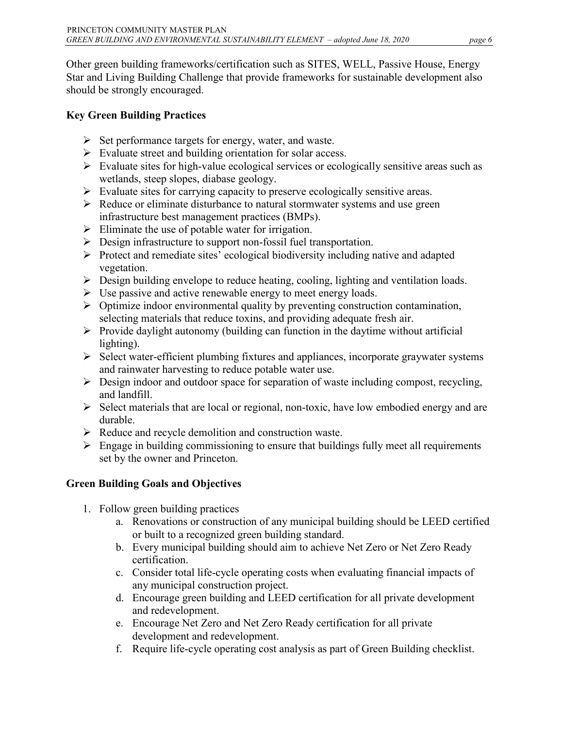Other green building frameworks/certification such as SITES, WELL, Passive House, Energy Star and Living Building Challenge that provide frameworks for sustainable development also should be strongly encouraged.

### **Key Green Building Practices**

- $\triangleright$  Set performance targets for energy, water, and waste.
- Evaluate street and building orientation for solar access.
- $\triangleright$  Evaluate sites for high-value ecological services or ecologically sensitive areas such as wetlands, steep slopes, diabase geology.
- Evaluate sites for carrying capacity to preserve ecologically sensitive areas.
- $\triangleright$  Reduce or eliminate disturbance to natural stormwater systems and use green infrastructure best management practices (BMPs).
- $\triangleright$  Eliminate the use of potable water for irrigation.
- Design infrastructure to support non-fossil fuel transportation.
- $\triangleright$  Protect and remediate sites' ecological biodiversity including native and adapted vegetation.
- $\triangleright$  Design building envelope to reduce heating, cooling, lighting and ventilation loads.
- $\triangleright$  Use passive and active renewable energy to meet energy loads.
- Optimize indoor environmental quality by preventing construction contamination, selecting materials that reduce toxins, and providing adequate fresh air.
- $\triangleright$  Provide daylight autonomy (building can function in the daytime without artificial lighting).
- $\triangleright$  Select water-efficient plumbing fixtures and appliances, incorporate graywater systems and rainwater harvesting to reduce potable water use.
- $\triangleright$  Design indoor and outdoor space for separation of waste including compost, recycling, and landfill.
- $\triangleright$  Select materials that are local or regional, non-toxic, have low embodied energy and are durable.
- $\triangleright$  Reduce and recycle demolition and construction waste.
- $\triangleright$  Engage in building commissioning to ensure that buildings fully meet all requirements set by the owner and Princeton.

### **Green Building Goals and Objectives**

- 1. Follow green building practices
	- a. Renovations or construction of any municipal building should be LEED certified or built to a recognized green building standard.
	- b. Every municipal building should aim to achieve Net Zero or Net Zero Ready certification.
	- c. Consider total life-cycle operating costs when evaluating financial impacts of any municipal construction project.
	- d. Encourage green building and LEED certification for all private development and redevelopment.
	- e. Encourage Net Zero and Net Zero Ready certification for all private development and redevelopment.
	- f. Require life-cycle operating cost analysis as part of Green Building checklist.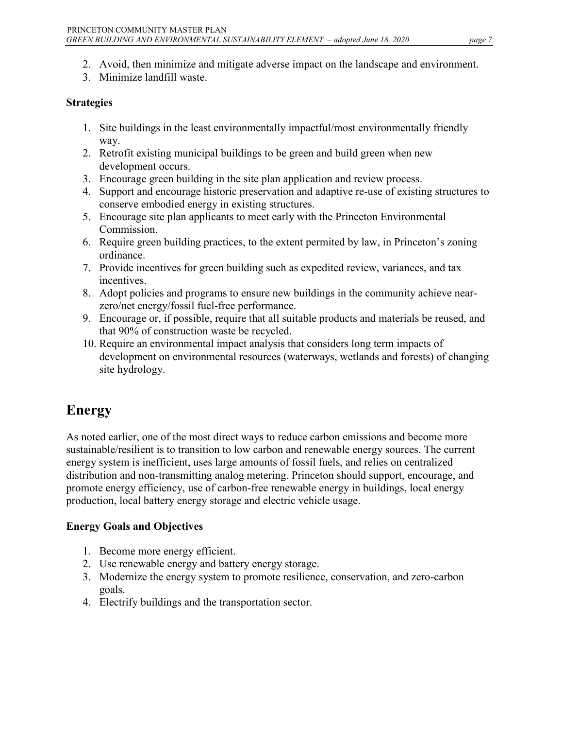- 2. Avoid, then minimize and mitigate adverse impact on the landscape and environment.
- 3. Minimize landfill waste.

#### **Strategies**

- 1. Site buildings in the least environmentally impactful/most environmentally friendly way.
- 2. Retrofit existing municipal buildings to be green and build green when new development occurs.
- 3. Encourage green building in the site plan application and review process.
- 4. Support and encourage historic preservation and adaptive re-use of existing structures to conserve embodied energy in existing structures.
- 5. Encourage site plan applicants to meet early with the Princeton Environmental Commission.
- 6. Require green building practices, to the extent permited by law, in Princeton's zoning ordinance.
- 7. Provide incentives for green building such as expedited review, variances, and tax incentives.
- 8. Adopt policies and programs to ensure new buildings in the community achieve nearzero/net energy/fossil fuel-free performance.
- 9. Encourage or, if possible, require that all suitable products and materials be reused, and that 90% of construction waste be recycled.
- 10. Require an environmental impact analysis that considers long term impacts of development on environmental resources (waterways, wetlands and forests) of changing site hydrology.

# <span id="page-6-0"></span>**Energy**

As noted earlier, one of the most direct ways to reduce carbon emissions and become more sustainable/resilient is to transition to low carbon and renewable energy sources. The current energy system is inefficient, uses large amounts of fossil fuels, and relies on centralized distribution and non-transmitting analog metering. Princeton should support, encourage, and promote energy efficiency, use of carbon-free renewable energy in buildings, local energy production, local battery energy storage and electric vehicle usage.

#### **Energy Goals and Objectives**

- 1. Become more energy efficient.
- 2. Use renewable energy and battery energy storage.
- 3. Modernize the energy system to promote resilience, conservation, and zero-carbon goals.
- 4. Electrify buildings and the transportation sector.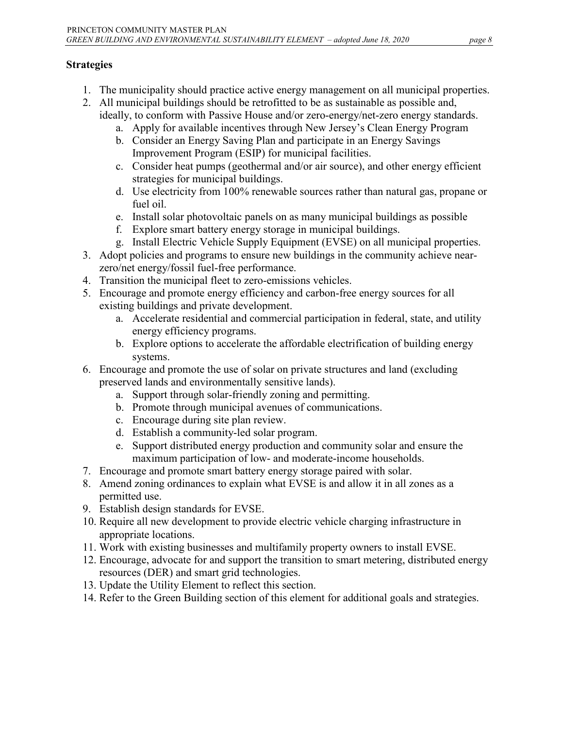- 1. The municipality should practice active energy management on all municipal properties.
- 2. All municipal buildings should be retrofitted to be as sustainable as possible and, ideally, to conform with Passive House and/or zero-energy/net-zero energy standards.
	- a. Apply for available incentives through New Jersey's Clean Energy Program
	- b. Consider an Energy Saving Plan and participate in an Energy Savings Improvement Program (ESIP) for municipal facilities.
	- c. Consider heat pumps (geothermal and/or air source), and other energy efficient strategies for municipal buildings.
	- d. Use electricity from 100% renewable sources rather than natural gas, propane or fuel oil.
	- e. Install solar photovoltaic panels on as many municipal buildings as possible
	- f. Explore smart battery energy storage in municipal buildings.
	- g. Install Electric Vehicle Supply Equipment (EVSE) on all municipal properties.
- 3. Adopt policies and programs to ensure new buildings in the community achieve nearzero/net energy/fossil fuel-free performance.
- 4. Transition the municipal fleet to zero-emissions vehicles.
- 5. Encourage and promote energy efficiency and carbon-free energy sources for all existing buildings and private development.
	- a. Accelerate residential and commercial participation in federal, state, and utility energy efficiency programs.
	- b. Explore options to accelerate the affordable electrification of building energy systems.
- 6. Encourage and promote the use of solar on private structures and land (excluding preserved lands and environmentally sensitive lands).
	- a. Support through solar-friendly zoning and permitting.
	- b. Promote through municipal avenues of communications.
	- c. Encourage during site plan review.
	- d. Establish a community-led solar program.
	- e. Support distributed energy production and community solar and ensure the maximum participation of low- and moderate-income households.
- 7. Encourage and promote smart battery energy storage paired with solar.
- 8. Amend zoning ordinances to explain what EVSE is and allow it in all zones as a permitted use.
- 9. Establish design standards for EVSE.
- 10. Require all new development to provide electric vehicle charging infrastructure in appropriate locations.
- 11. Work with existing businesses and multifamily property owners to install EVSE.
- 12. Encourage, advocate for and support the transition to smart metering, distributed energy resources (DER) and smart grid technologies.
- 13. Update the Utility Element to reflect this section.
- <span id="page-7-0"></span>14. Refer to the Green Building section of this element for additional goals and strategies.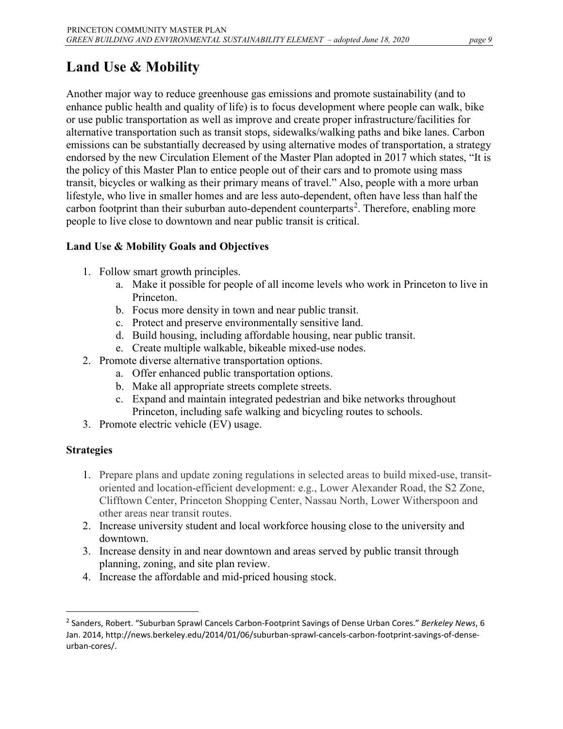Another major way to reduce greenhouse gas emissions and promote sustainability (and to enhance public health and quality of life) is to focus development where people can walk, bike or use public transportation as well as improve and create proper infrastructure/facilities for alternative transportation such as transit stops, sidewalks/walking paths and bike lanes. Carbon emissions can be substantially decreased by using alternative modes of transportation, a strategy endorsed by the new Circulation Element of the Master Plan adopted in 2017 which states, "It is the policy of this Master Plan to entice people out of their cars and to promote using mass transit, bicycles or walking as their primary means of travel." Also, people with a more urban lifestyle, who live in smaller homes and are less auto-dependent, often have less than half the carbon footprint than their suburban auto-dependent counterparts<sup>[2](#page-8-0)</sup>. Therefore, enabling more people to live close to downtown and near public transit is critical.

### **Land Use & Mobility Goals and Objectives**

- 1. Follow smart growth principles.
	- a. Make it possible for people of all income levels who work in Princeton to live in Princeton.
	- b. Focus more density in town and near public transit.
	- c. Protect and preserve environmentally sensitive land.
	- d. Build housing, including affordable housing, near public transit.
	- e. Create multiple walkable, bikeable mixed-use nodes.
- 2. Promote diverse alternative transportation options.
	- a. Offer enhanced public transportation options.
	- b. Make all appropriate streets complete streets.
	- c. Expand and maintain integrated pedestrian and bike networks throughout Princeton, including safe walking and bicycling routes to schools.
- 3. Promote electric vehicle (EV) usage.

- 1. Prepare plans and update zoning regulations in selected areas to build mixed-use, transitoriented and location-efficient development: e.g., Lower Alexander Road, the S2 Zone, Clifftown Center, Princeton Shopping Center, Nassau North, Lower Witherspoon and other areas near transit routes.
- 2. Increase university student and local workforce housing close to the university and downtown.
- 3. Increase density in and near downtown and areas served by public transit through planning, zoning, and site plan review.
- 4. Increase the affordable and mid-priced housing stock.

<span id="page-8-0"></span> <sup>2</sup> Sanders, Robert. "Suburban Sprawl Cancels Carbon-Footprint Savings of Dense Urban Cores." *Berkeley News*, 6 Jan. 2014, http://news.berkeley.edu/2014/01/06/suburban-sprawl-cancels-carbon-footprint-savings-of-denseurban-cores/.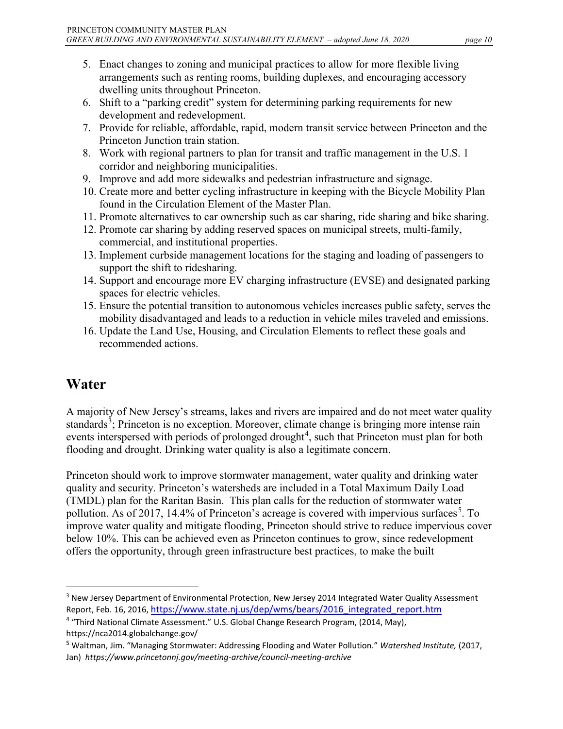- 5. Enact changes to zoning and municipal practices to allow for more flexible living arrangements such as renting rooms, building duplexes, and encouraging accessory dwelling units throughout Princeton.
- 6. Shift to a "parking credit" system for determining parking requirements for new development and redevelopment.
- 7. Provide for reliable, affordable, rapid, modern transit service between Princeton and the Princeton Junction train station.
- 8. Work with regional partners to plan for transit and traffic management in the U.S. 1 corridor and neighboring municipalities.
- 9. Improve and add more sidewalks and pedestrian infrastructure and signage.
- 10. Create more and better cycling infrastructure in keeping with the Bicycle Mobility Plan found in the Circulation Element of the Master Plan.
- 11. Promote alternatives to car ownership such as car sharing, ride sharing and bike sharing.
- 12. Promote car sharing by adding reserved spaces on municipal streets, multi-family, commercial, and institutional properties.
- 13. Implement curbside management locations for the staging and loading of passengers to support the shift to ridesharing.
- 14. Support and encourage more EV charging infrastructure (EVSE) and designated parking spaces for electric vehicles.
- 15. Ensure the potential transition to autonomous vehicles increases public safety, serves the mobility disadvantaged and leads to a reduction in vehicle miles traveled and emissions.
- 16. Update the Land Use, Housing, and Circulation Elements to reflect these goals and recommended actions.

# <span id="page-9-0"></span>**Water**

A majority of New Jersey's streams, lakes and rivers are impaired and do not meet water quality standards<sup>[3](#page-9-1)</sup>; Princeton is no exception. Moreover, climate change is bringing more intense rain events interspersed with periods of prolonged drought<sup>[4](#page-9-2)</sup>, such that Princeton must plan for both flooding and drought. Drinking water quality is also a legitimate concern.

Princeton should work to improve stormwater management, water quality and drinking water quality and security. Princeton's watersheds are included in a Total Maximum Daily Load (TMDL) plan for the Raritan Basin. This plan calls for the reduction of stormwater water pollution. As of 2017, 14.4% of Princeton's acreage is covered with impervious surfaces<sup>[5](#page-9-3)</sup>. To improve water quality and mitigate flooding, Princeton should strive to reduce impervious cover below 10%. This can be achieved even as Princeton continues to grow, since redevelopment offers the opportunity, through green infrastructure best practices, to make the built

<span id="page-9-1"></span><sup>&</sup>lt;sup>3</sup> New Jersey Department of Environmental Protection, New Jersey 2014 Integrated Water Quality Assessment Report, Feb. 16, 2016, [https://www.state.nj.us/dep/wms/bears/2016\\_integrated\\_report.htm](https://www.state.nj.us/dep/wms/bears/2016_integrated_report.htm)

<span id="page-9-2"></span><sup>4</sup> "Third National Climate Assessment." U.S. Global Change Research Program, (2014, May), https://nca2014.globalchange.gov/

<span id="page-9-3"></span><sup>5</sup> Waltman, Jim. "Managing Stormwater: Addressing Flooding and Water Pollution." *Watershed Institute,* (2017, Jan) *https://www.princetonnj.gov/meeting-archive/council-meeting-archive*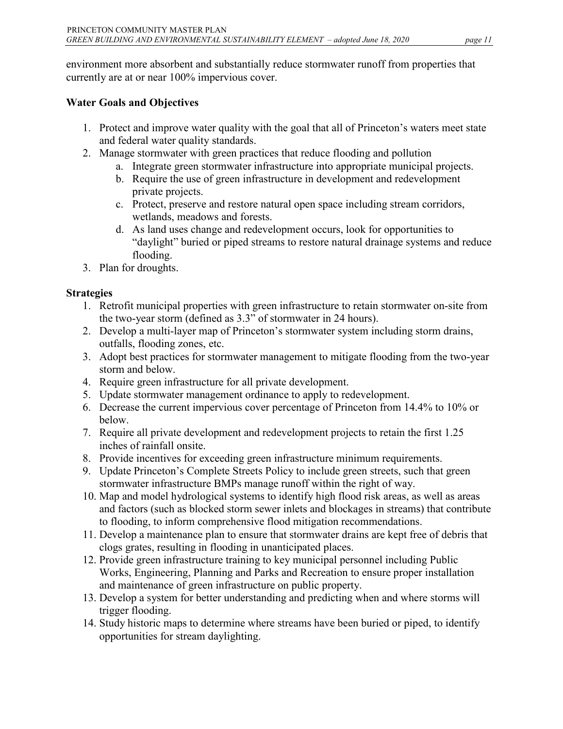environment more absorbent and substantially reduce stormwater runoff from properties that currently are at or near 100% impervious cover.

#### **Water Goals and Objectives**

- 1. Protect and improve water quality with the goal that all of Princeton's waters meet state and federal water quality standards.
- 2. Manage stormwater with green practices that reduce flooding and pollution
	- a. Integrate green stormwater infrastructure into appropriate municipal projects.
	- b. Require the use of green infrastructure in development and redevelopment private projects.
	- c. Protect, preserve and restore natural open space including stream corridors, wetlands, meadows and forests.
	- d. As land uses change and redevelopment occurs, look for opportunities to "daylight" buried or piped streams to restore natural drainage systems and reduce flooding.
- 3. Plan for droughts.

- 1. Retrofit municipal properties with green infrastructure to retain stormwater on-site from the two-year storm (defined as 3.3" of stormwater in 24 hours).
- 2. Develop a multi-layer map of Princeton's stormwater system including storm drains, outfalls, flooding zones, etc.
- 3. Adopt best practices for stormwater management to mitigate flooding from the two-year storm and below.
- 4. Require green infrastructure for all private development.
- 5. Update stormwater management ordinance to apply to redevelopment.
- 6. Decrease the current impervious cover percentage of Princeton from 14.4% to 10% or below.
- 7. Require all private development and redevelopment projects to retain the first 1.25 inches of rainfall onsite.
- 8. Provide incentives for exceeding green infrastructure minimum requirements.
- 9. Update Princeton's Complete Streets Policy to include green streets, such that green stormwater infrastructure BMPs manage runoff within the right of way.
- 10. Map and model hydrological systems to identify high flood risk areas, as well as areas and factors (such as blocked storm sewer inlets and blockages in streams) that contribute to flooding, to inform comprehensive flood mitigation recommendations.
- 11. Develop a maintenance plan to ensure that stormwater drains are kept free of debris that clogs grates, resulting in flooding in unanticipated places.
- 12. Provide green infrastructure training to key municipal personnel including Public Works, Engineering, Planning and Parks and Recreation to ensure proper installation and maintenance of green infrastructure on public property.
- 13. Develop a system for better understanding and predicting when and where storms will trigger flooding.
- 14. Study historic maps to determine where streams have been buried or piped, to identify opportunities for stream daylighting.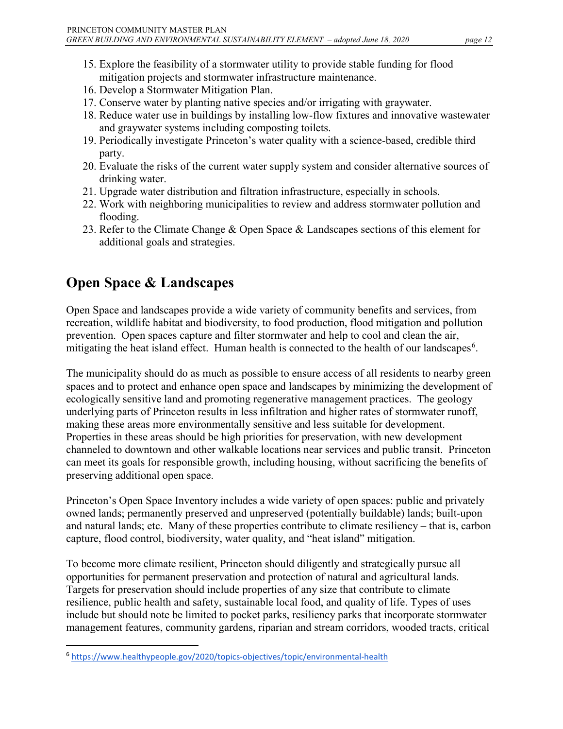- 15. Explore the feasibility of a stormwater utility to provide stable funding for flood mitigation projects and stormwater infrastructure maintenance.
- 16. Develop a Stormwater Mitigation Plan.
- 17. Conserve water by planting native species and/or irrigating with graywater.
- 18. Reduce water use in buildings by installing low-flow fixtures and innovative wastewater and graywater systems including composting toilets.
- 19. Periodically investigate Princeton's water quality with a science-based, credible third party.
- 20. Evaluate the risks of the current water supply system and consider alternative sources of drinking water.
- 21. Upgrade water distribution and filtration infrastructure, especially in schools.
- 22. Work with neighboring municipalities to review and address stormwater pollution and flooding.
- 23. Refer to the Climate Change & Open Space & Landscapes sections of this element for additional goals and strategies.

# <span id="page-11-0"></span>**Open Space & Landscapes**

Open Space and landscapes provide a wide variety of community benefits and services, from recreation, wildlife habitat and biodiversity, to food production, flood mitigation and pollution prevention. Open spaces capture and filter stormwater and help to cool and clean the air, mitigating the heat island effect. Human health is connected to the health of our landscapes<sup>[6](#page-11-1)</sup>.

The municipality should do as much as possible to ensure access of all residents to nearby green spaces and to protect and enhance open space and landscapes by minimizing the development of ecologically sensitive land and promoting regenerative management practices. The geology underlying parts of Princeton results in less infiltration and higher rates of stormwater runoff, making these areas more environmentally sensitive and less suitable for development. Properties in these areas should be high priorities for preservation, with new development channeled to downtown and other walkable locations near services and public transit. Princeton can meet its goals for responsible growth, including housing, without sacrificing the benefits of preserving additional open space.

Princeton's Open Space Inventory includes a wide variety of open spaces: public and privately owned lands; permanently preserved and unpreserved (potentially buildable) lands; built-upon and natural lands; etc. Many of these properties contribute to climate resiliency – that is, carbon capture, flood control, biodiversity, water quality, and "heat island" mitigation.

To become more climate resilient, Princeton should diligently and strategically pursue all opportunities for permanent preservation and protection of natural and agricultural lands. Targets for preservation should include properties of any size that contribute to climate resilience, public health and safety, sustainable local food, and quality of life. Types of uses include but should note be limited to pocket parks, resiliency parks that incorporate stormwater management features, community gardens, riparian and stream corridors, wooded tracts, critical

<span id="page-11-1"></span> <sup>6</sup> <https://www.healthypeople.gov/2020/topics-objectives/topic/environmental-health>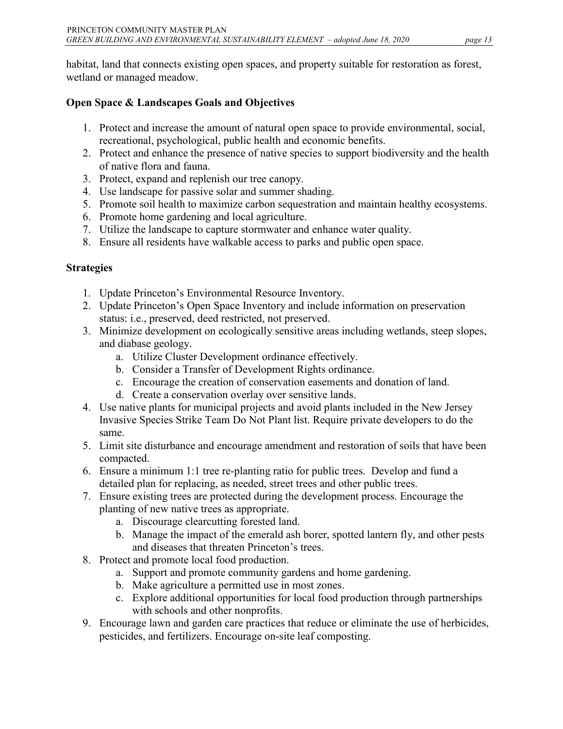habitat, land that connects existing open spaces, and property suitable for restoration as forest, wetland or managed meadow.

### **Open Space & Landscapes Goals and Objectives**

- 1. Protect and increase the amount of natural open space to provide environmental, social, recreational, psychological, public health and economic benefits.
- 2. Protect and enhance the presence of native species to support biodiversity and the health of native flora and fauna.
- 3. Protect, expand and replenish our tree canopy.
- 4. Use landscape for passive solar and summer shading.
- 5. Promote soil health to maximize carbon sequestration and maintain healthy ecosystems.
- 6. Promote home gardening and local agriculture.
- 7. Utilize the landscape to capture stormwater and enhance water quality.
- 8. Ensure all residents have walkable access to parks and public open space.

- 1. Update Princeton's Environmental Resource Inventory.
- 2. Update Princeton's Open Space Inventory and include information on preservation status: i.e., preserved, deed restricted, not preserved.
- 3. Minimize development on ecologically sensitive areas including wetlands, steep slopes, and diabase geology.
	- a. Utilize Cluster Development ordinance effectively.
	- b. Consider a Transfer of Development Rights ordinance.
	- c. Encourage the creation of conservation easements and donation of land.
	- d. Create a conservation overlay over sensitive lands.
- 4. Use native plants for municipal projects and avoid plants included in the New Jersey Invasive Species Strike Team Do Not Plant list. Require private developers to do the same.
- 5. Limit site disturbance and encourage amendment and restoration of soils that have been compacted.
- 6. Ensure a minimum 1:1 tree re-planting ratio for public trees. Develop and fund a detailed plan for replacing, as needed, street trees and other public trees.
- 7. Ensure existing trees are protected during the development process. Encourage the planting of new native trees as appropriate.
	- a. Discourage clearcutting forested land.
	- b. Manage the impact of the emerald ash borer, spotted lantern fly, and other pests and diseases that threaten Princeton's trees.
- 8. Protect and promote local food production.
	- a. Support and promote community gardens and home gardening.
	- b. Make agriculture a permitted use in most zones.
	- c. Explore additional opportunities for local food production through partnerships with schools and other nonprofits.
- 9. Encourage lawn and garden care practices that reduce or eliminate the use of herbicides, pesticides, and fertilizers. Encourage on-site leaf composting.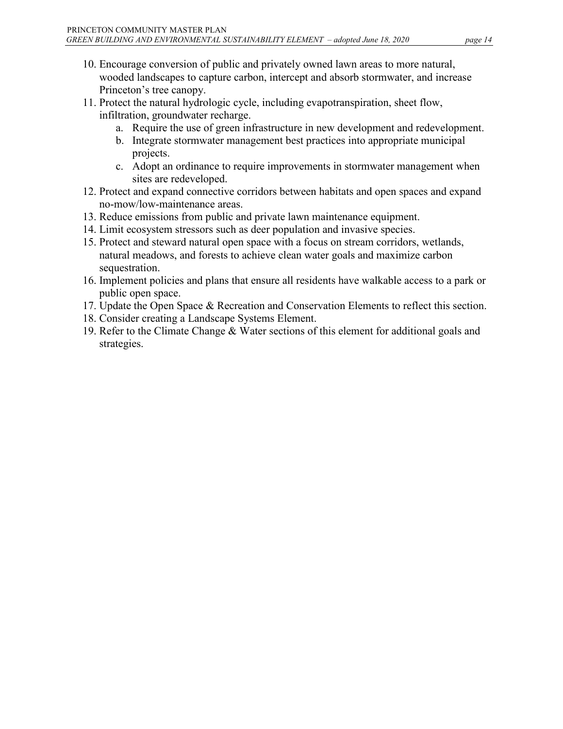- 10. Encourage conversion of public and privately owned lawn areas to more natural, wooded landscapes to capture carbon, intercept and absorb stormwater, and increase Princeton's tree canopy.
- 11. Protect the natural hydrologic cycle, including evapotranspiration, sheet flow, infiltration, groundwater recharge.
	- a. Require the use of green infrastructure in new development and redevelopment.
	- b. Integrate stormwater management best practices into appropriate municipal projects.
	- c. Adopt an ordinance to require improvements in stormwater management when sites are redeveloped.
- 12. Protect and expand connective corridors between habitats and open spaces and expand no-mow/low-maintenance areas.
- 13. Reduce emissions from public and private lawn maintenance equipment.
- 14. Limit ecosystem stressors such as deer population and invasive species.
- 15. Protect and steward natural open space with a focus on stream corridors, wetlands, natural meadows, and forests to achieve clean water goals and maximize carbon sequestration.
- 16. Implement policies and plans that ensure all residents have walkable access to a park or public open space.
- 17. Update the Open Space & Recreation and Conservation Elements to reflect this section.
- 18. Consider creating a Landscape Systems Element.
- 19. Refer to the Climate Change & Water sections of this element for additional goals and strategies.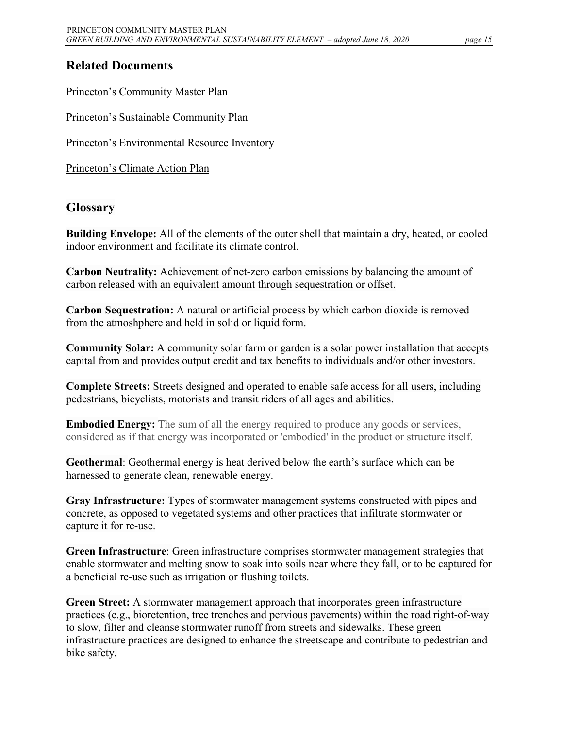# <span id="page-14-0"></span>**Related Documents**

[Princeton's Community](http://www.princetonnj.gov/masterplan/table_of_contents.html) Master Plan

Princeton's [Sustainable Community Plan](https://static1.squarespace.com/static/53e4fdabe4b00bf4cf27d379/t/552ecadde4b02f9187d8b1c1/1429129949681/Sustainable+Princeton+Community+Plan.pdf)

Princeton's [Environmental Resource Inventory](https://drive.google.com/file/d/1VkQiWMqcycTFLhyg4WhX5im7Q5EuYzIi/view)

[Princeton's Climate Action Plan](https://www.sustainableprinceton.org/princeton-climate-action-plan/)

## **Glossary**

**Building Envelope:** All of the elements of the outer shell that maintain a dry, heated, or cooled indoor environment and facilitate its climate control.

**Carbon Neutrality:** Achievement of net-zero carbon emissions by balancing the amount of carbon released with an equivalent amount through sequestration or offset.

**Carbon Sequestration:** A natural or artificial process by which carbon dioxide is removed from the atmoshphere and held in solid or liquid form.

**Community Solar:** A community solar farm or garden is a solar power installation that accepts capital from and provides output credit and tax benefits to individuals and/or other investors.

**Complete Streets:** Streets designed and operated to enable safe access for all users, including pedestrians, bicyclists, motorists and transit riders of all ages and abilities.

**Embodied Energy:** The sum of all the energy required to produce any goods or services, considered as if that energy was incorporated or 'embodied' in the product or structure itself.

**Geothermal**: Geothermal energy is heat derived below the earth's surface which can be harnessed to generate clean, renewable energy.

**Gray Infrastructure:** Types of stormwater management systems constructed with pipes and concrete, as opposed to vegetated systems and other practices that infiltrate stormwater or capture it for re-use.

**Green Infrastructure**: Green infrastructure comprises stormwater management strategies that enable stormwater and melting snow to soak into soils near where they fall, or to be captured for a beneficial re-use such as irrigation or flushing toilets.

**Green Street:** A stormwater management approach that incorporates green infrastructure practices (e.g., bioretention, tree trenches and pervious pavements) within the road right-of-way to slow, filter and cleanse stormwater runoff from streets and sidewalks. These green infrastructure practices are designed to enhance the streetscape and contribute to pedestrian and bike safety.